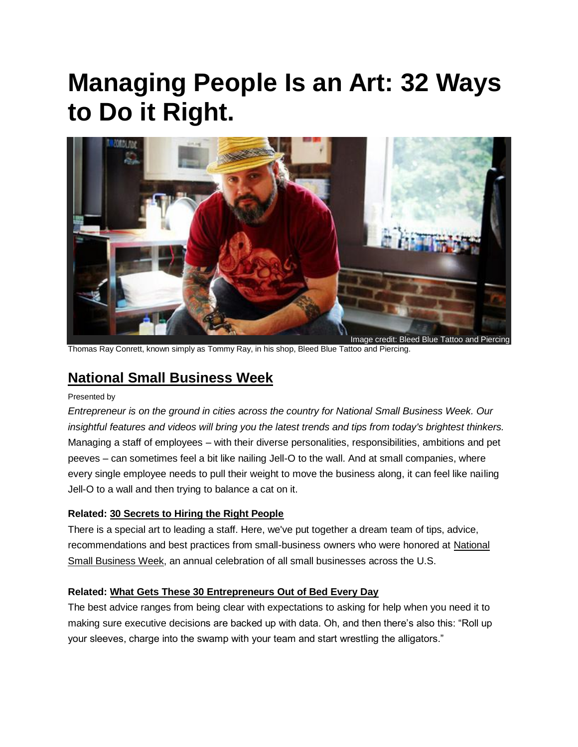# **Managing People Is an Art: 32 Ways to Do it Right.**



Thomas Ray Conrett, known simply as Tommy Ray, in his shop, Bleed Blue Tattoo and Piercing.

# **[National Small Business Week](http://www.entrepreneur.com/smallbizweek)**

#### Presented by

*Entrepreneur is on the ground in cities across the country for National Small Business Week. Our insightful features and videos will bring you the latest trends and tips from today's brightest thinkers.* Managing a staff of employees – with their diverse personalities, responsibilities, ambitions and pet peeves – can sometimes feel a bit like nailing Jell-O to the wall. And at small companies, where every single employee needs to pull their weight to move the business along, it can feel like nailing Jell-O to a wall and then trying to balance a cat on it.

#### **Related: [30 Secrets to Hiring the Right People](http://www.entrepreneur.com/article/234096)**

There is a special art to leading a staff. Here, we've put together a dream team of tips, advice, recommendations and best practices from small-business owners who were honored at [National](http://www.sba.gov/nsbw/nsbw)  [Small Business Week,](http://www.sba.gov/nsbw/nsbw) an annual celebration of all small businesses across the U.S.

#### **Related: [What Gets These 30 Entrepreneurs Out of Bed Every Day](http://www.entrepreneur.com/article/233874)**

The best advice ranges from being clear with expectations to asking for help when you need it to making sure executive decisions are backed up with data. Oh, and then there's also this: "Roll up your sleeves, charge into the swamp with your team and start wrestling the alligators."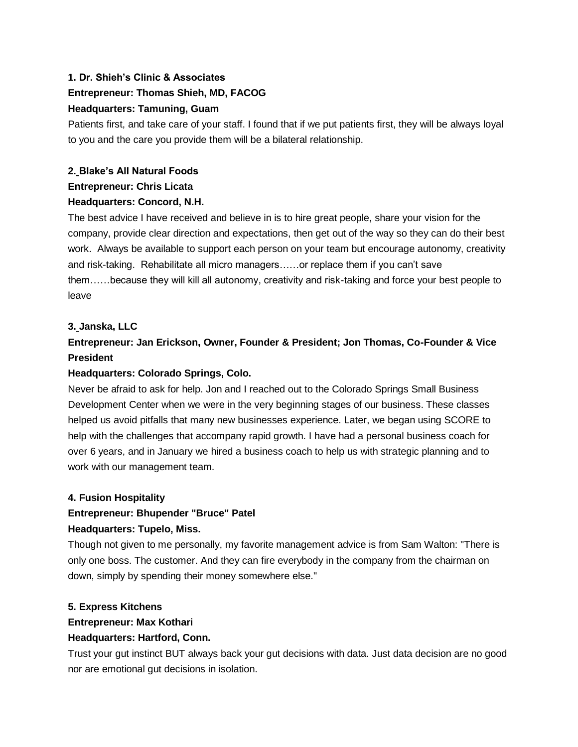# **1. [Dr. Shieh's Clinic & Associates](http://www.shiehclinic.com/) Entrepreneur: Thomas Shieh, MD, FACOG Headquarters: Tamuning, Guam**

Patients first, and take care of your staff. I found that if we put patients first, they will be always loyal to you and the care you provide them will be a bilateral relationship.

# **2. [Blake's All Natural Foods](http://www.blakesallnatural.com/) Entrepreneur: Chris Licata Headquarters: Concord, N.H.**

The best advice I have received and believe in is to hire great people, share your vision for the company, provide clear direction and expectations, then get out of the way so they can do their best work. Always be available to support each person on your team but encourage autonomy, creativity and risk-taking. Rehabilitate all micro managers……or replace them if you can't save them……because they will kill all autonomy, creativity and risk-taking and force your best people to leave

#### **3. [Janska, LLC](http://www.janska.com/)**

# **Entrepreneur: Jan Erickson, Owner, Founder & President; Jon Thomas, Co-Founder & Vice President**

#### **Headquarters: Colorado Springs, Colo.**

Never be afraid to ask for help. Jon and I reached out to the Colorado Springs Small Business Development Center when we were in the very beginning stages of our business. These classes helped us avoid pitfalls that many new businesses experience. Later, we began using SCORE to help with the challenges that accompany rapid growth. I have had a personal business coach for over 6 years, and in January we hired a business coach to help us with strategic planning and to work with our management team.

#### **4. [Fusion Hospitality](http://fusion-hospitality.com/)**

# **Entrepreneur: Bhupender "Bruce" Patel Headquarters: Tupelo, Miss.**

Though not given to me personally, my favorite management advice is from Sam Walton: "There is only one boss. The customer. And they can fire everybody in the company from the chairman on down, simply by spending their money somewhere else."

#### **5. [Express Kitchens](http://www.expresskitchen.net/)**

#### **Entrepreneur: Max Kothari**

#### **Headquarters: Hartford, Conn.**

Trust your gut instinct BUT always back your gut decisions with data. Just data decision are no good nor are emotional gut decisions in isolation.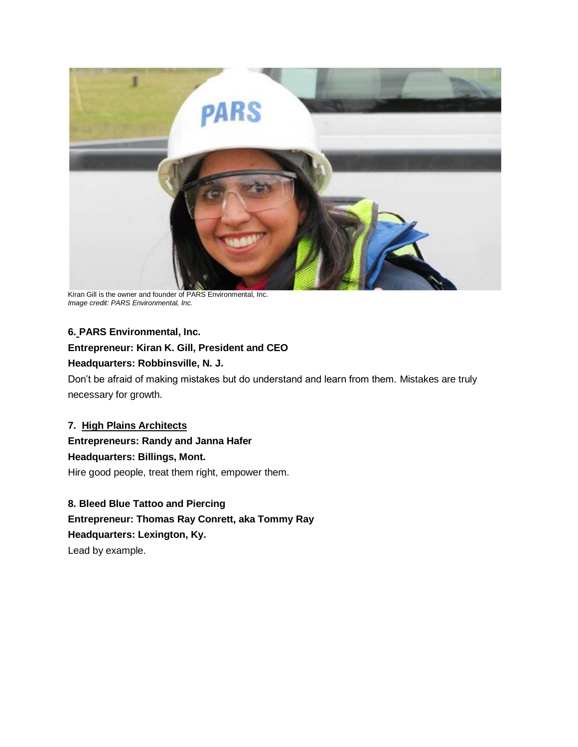

Kiran Gill is the owner and founder of PARS Environmental, Inc. *Image credit: PARS Environmental, Inc.*

# **6. [PARS Environmental, Inc.](http://www.parsenviro.com/)**

# **Entrepreneur: Kiran K. Gill, President and CEO**

#### **Headquarters: Robbinsville, N. J.**

Don't be afraid of making mistakes but do understand and learn from them. Mistakes are truly necessary for growth.

# **7. [High Plains Architects](http://www.highplainsarchitects.com/)**

**Entrepreneurs: Randy and Janna Hafer Headquarters: Billings, Mont.** Hire good people, treat them right, empower them.

# **8. [Bleed Blue Tattoo and Piercing](http://www.bleedbluetattoo.com/)**

**Entrepreneur: Thomas Ray Conrett, aka Tommy Ray Headquarters: Lexington, Ky.**

Lead by example.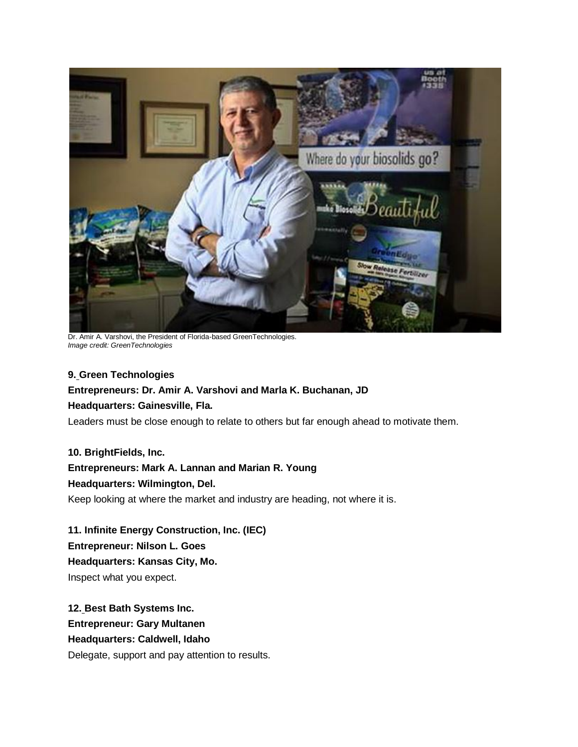

Dr. Amir A. Varshovi, the President of Florida-based GreenTechnologies. *Image credit: GreenTechnologies*

#### **9. [Green Technologies](http://green-edge.com/)**

#### **Entrepreneurs: Dr. Amir A. Varshovi and Marla K. Buchanan, JD**

#### **Headquarters: Gainesville, Fla.**

Leaders must be close enough to relate to others but far enough ahead to motivate them.

**10. [BrightFields, Inc.](http://www.brightfieldsinc.com/)**

#### **Entrepreneurs: Mark A. Lannan and Marian R. Young**

#### **Headquarters: Wilmington, Del.**

Keep looking at where the market and industry are heading, not where it is.

**11. [Infinite Energy Construction, Inc. \(IEC\)](http://www.infiniteenergyconstruction.com/) Entrepreneur: Nilson L. Goes Headquarters: Kansas City, Mo.** Inspect what you expect.

**12. [Best Bath Systems Inc.](http://www.best-bath.com/) Entrepreneur: Gary Multanen Headquarters: Caldwell, Idaho** Delegate, support and pay attention to results.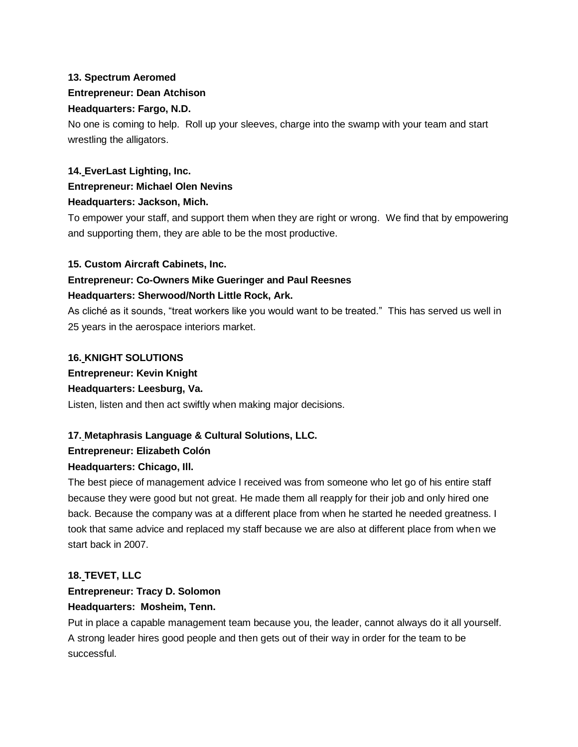# **13. [Spectrum Aeromed](http://www.spectrum-aeromed.com/) Entrepreneur: Dean Atchison Headquarters: Fargo, N.D.**

No one is coming to help. Roll up your sleeves, charge into the swamp with your team and start wrestling the alligators.

# **14. [EverLast Lighting, Inc.](http://www.everlastlight.com/) Entrepreneur: Michael Olen Nevins Headquarters: Jackson, Mich.**

To empower your staff, and support them when they are right or wrong. We find that by empowering and supporting them, they are able to be the most productive.

# **15. [Custom Aircraft Cabinets, Inc.](http://www.customaircraftcabinets.com/)**

# **Entrepreneur: Co-Owners Mike Gueringer and Paul Reesnes Headquarters: Sherwood/North Little Rock, Ark.**

As cliché as it sounds, "treat workers like you would want to be treated." This has served us well in 25 years in the aerospace interiors market.

#### **16. [KNIGHT SOLUTIONS](http://www.knightfirst.com/)**

**Entrepreneur: Kevin Knight**

# **Headquarters: Leesburg, Va.**

Listen, listen and then act swiftly when making major decisions.

# **17. [Metaphrasis Language & Cultural Solutions, LLC.](http://www.metaphrasislcs.com/)**

# **Entrepreneur: Elizabeth Colón**

# **Headquarters: Chicago, Ill.**

The best piece of management advice I received was from someone who let go of his entire staff because they were good but not great. He made them all reapply for their job and only hired one back. Because the company was at a different place from when he started he needed greatness. I took that same advice and replaced my staff because we are also at different place from when we start back in 2007.

# **18. [TEVET, LLC](http://www.tevetllc.com/)**

# **Entrepreneur: Tracy D. Solomon**

# **Headquarters: Mosheim, Tenn.**

Put in place a capable management team because you, the leader, cannot always do it all yourself. A strong leader hires good people and then gets out of their way in order for the team to be successful.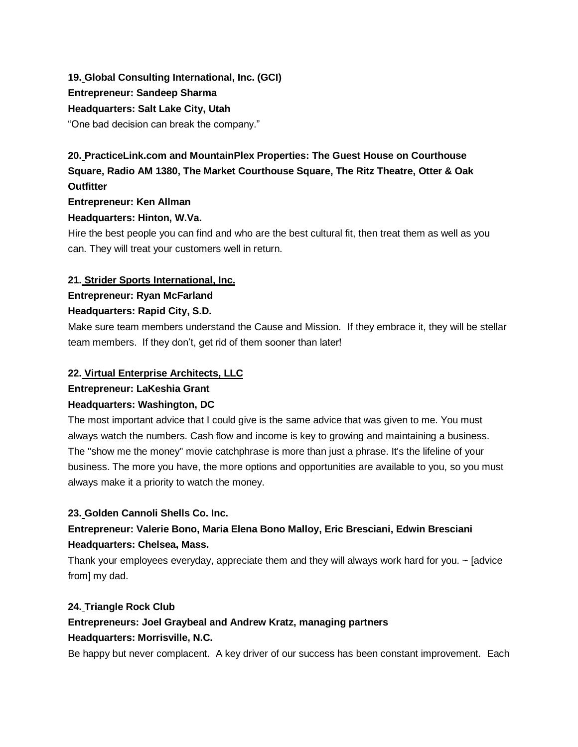# **19. [Global Consulting International, Inc. \(GCI\)](http://www.gci-usa.com/) Entrepreneur: Sandeep Sharma Headquarters: Salt Lake City, Utah** "One bad decision can break the company."

# **20. [PracticeLink.com](http://practicelink.com/) and MountainPlex Properties: [The Guest House on Courthouse](http://guesthousewv.com/)  [Square,](http://guesthousewv.com/) [Radio AM 1380,](http://www.radioam1380.com/) [The Market Courthouse Square,](http://www.themarketwv.com/) [The Ritz Theatre,](http://ritzwv.com/) [Otter & Oak](http://otterandoak.com/)  [Outfitter](http://otterandoak.com/)**

#### **Entrepreneur: Ken Allman**

# **Headquarters: Hinton, W.Va.**

Hire the best people you can find and who are the best cultural fit, then treat them as well as you can. They will treat your customers well in return.

# **21. [Strider Sports International, Inc.](http://www.striderbikes.com/)**

# **Entrepreneur: Ryan McFarland**

# **Headquarters: Rapid City, S.D.**

Make sure team members understand the Cause and Mission. If they embrace it, they will be stellar team members. If they don't, get rid of them sooner than later!

# **22. [Virtual Enterprise Architects, LLC](http://www.virtual-ea.com/)**

# **Entrepreneur: LaKeshia Grant**

# **Headquarters: Washington, DC**

The most important advice that I could give is the same advice that was given to me. You must always watch the numbers. Cash flow and income is key to growing and maintaining a business. The "show me the money" movie catchphrase is more than just a phrase. It's the lifeline of your business. The more you have, the more options and opportunities are available to you, so you must always make it a priority to watch the money.

# **23. [Golden Cannoli Shells Co. Inc.](http://www.goldencannoli.com/)**

# **Entrepreneur: Valerie Bono, Maria Elena Bono Malloy, Eric Bresciani, Edwin Bresciani Headquarters: Chelsea, Mass.**

Thank your employees everyday, appreciate them and they will always work hard for you. ~ [advice from] my dad.

# **24. [Triangle Rock Club](http://www.trianglerockclub.com/)**

# **Entrepreneurs: Joel Graybeal and Andrew Kratz, managing partners Headquarters: Morrisville, N.C.**

Be happy but never complacent. A key driver of our success has been constant improvement. Each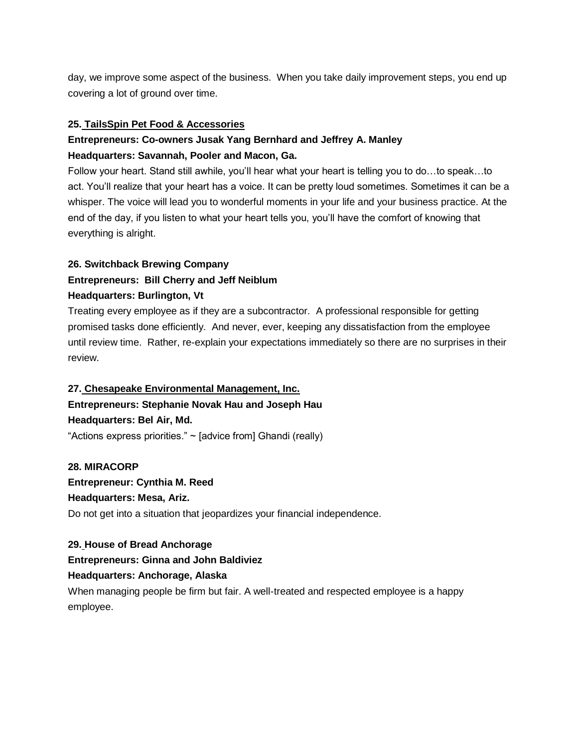day, we improve some aspect of the business. When you take daily improvement steps, you end up covering a lot of ground over time.

#### **25. [TailsSpin Pet Food & Accessories](http://www.tailsspin.com/)**

# **Entrepreneurs: Co-owners Jusak Yang Bernhard and Jeffrey A. Manley Headquarters: Savannah, Pooler and Macon, Ga.**

Follow your heart. Stand still awhile, you'll hear what your heart is telling you to do…to speak…to act. You'll realize that your heart has a voice. It can be pretty loud sometimes. Sometimes it can be a whisper. The voice will lead you to wonderful moments in your life and your business practice. At the end of the day, if you listen to what your heart tells you, you'll have the comfort of knowing that everything is alright.

#### **26. [Switchback Brewing Company](http://www.switchbackvt.com/)**

# **Entrepreneurs: Bill Cherry and Jeff Neiblum Headquarters: Burlington, Vt**

Treating every employee as if they are a subcontractor. A professional responsible for getting promised tasks done efficiently. And never, ever, keeping any dissatisfaction from the employee until review time. Rather, re-explain your expectations immediately so there are no surprises in their review.

#### **27. [Chesapeake Environmental Management, Inc.](http://www.cemscience.com/)**

**Entrepreneurs: Stephanie Novak Hau and Joseph Hau Headquarters: Bel Air, Md.**

"Actions express priorities." ~ [advice from] Ghandi (really)

**28. [MIRACORP](about:blank) Entrepreneur: Cynthia M. Reed Headquarters: Mesa, Ariz.** Do not get into a situation that jeopardizes your financial independence.

#### **29. [House of Bread Anchorage](http://www.houseofbreadanchorage.com/)**

#### **Entrepreneurs: Ginna and John Baldiviez**

#### **Headquarters: Anchorage, Alaska**

When managing people be firm but fair. A well-treated and respected employee is a happy employee.